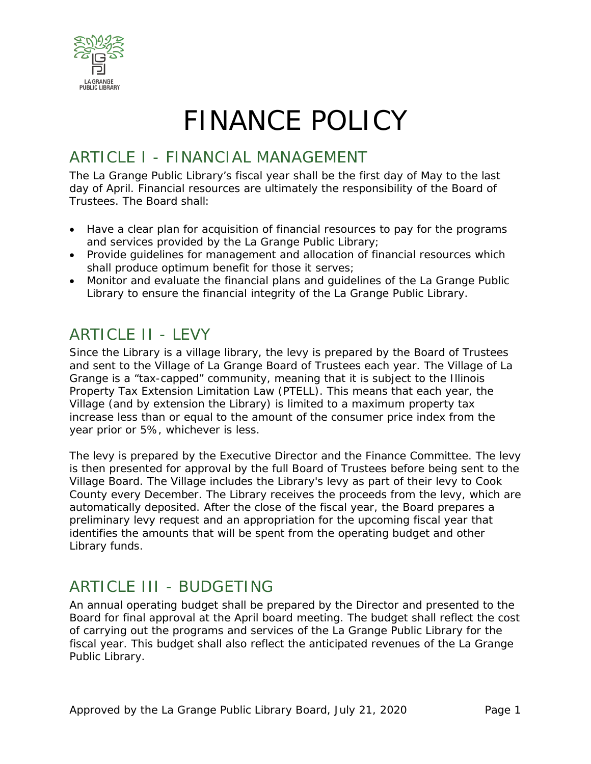

# FINANCE POLICY

### ARTICLE I - FINANCIAL MANAGEMENT

The La Grange Public Library's fiscal year shall be the first day of May to the last day of April. Financial resources are ultimately the responsibility of the Board of Trustees. The Board shall:

- Have a clear plan for acquisition of financial resources to pay for the programs and services provided by the La Grange Public Library;
- Provide guidelines for management and allocation of financial resources which shall produce optimum benefit for those it serves;
- Monitor and evaluate the financial plans and guidelines of the La Grange Public Library to ensure the financial integrity of the La Grange Public Library.

### ARTICLE II - LEVY

Since the Library is a village library, the levy is prepared by the Board of Trustees and sent to the Village of La Grange Board of Trustees each year. The Village of La Grange is a "tax-capped" community, meaning that it is subject to the Illinois Property Tax Extension Limitation Law (PTELL). This means that each year, the Village (and by extension the Library) is limited to a maximum property tax increase less than or equal to the amount of the consumer price index from the year prior or 5%, whichever is less.

The levy is prepared by the Executive Director and the Finance Committee. The levy is then presented for approval by the full Board of Trustees before being sent to the Village Board. The Village includes the Library's levy as part of their levy to Cook County every December. The Library receives the proceeds from the levy, which are automatically deposited. After the close of the fiscal year, the Board prepares a preliminary levy request and an appropriation for the upcoming fiscal year that identifies the amounts that will be spent from the operating budget and other Library funds.

### ARTICLE III - BUDGETING

An annual operating budget shall be prepared by the Director and presented to the Board for final approval at the April board meeting. The budget shall reflect the cost of carrying out the programs and services of the La Grange Public Library for the fiscal year. This budget shall also reflect the anticipated revenues of the La Grange Public Library.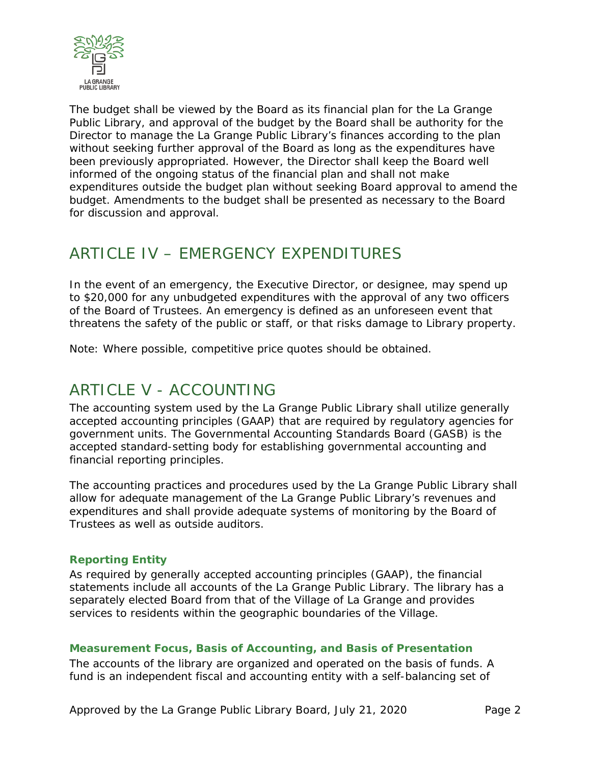

The budget shall be viewed by the Board as its financial plan for the La Grange Public Library, and approval of the budget by the Board shall be authority for the Director to manage the La Grange Public Library's finances according to the plan without seeking further approval of the Board as long as the expenditures have been previously appropriated. However, the Director shall keep the Board well informed of the ongoing status of the financial plan and shall not make expenditures outside the budget plan without seeking Board approval to amend the budget. Amendments to the budget shall be presented as necessary to the Board for discussion and approval.

### ARTICLE IV – EMERGENCY EXPENDITURES

In the event of an emergency, the Executive Director, or designee, may spend up to \$20,000 for any unbudgeted expenditures with the approval of any two officers of the Board of Trustees. An emergency is defined as an unforeseen event that threatens the safety of the public or staff, or that risks damage to Library property.

Note: Where possible, competitive price quotes should be obtained.

### ARTICLE V - ACCOUNTING

The accounting system used by the La Grange Public Library shall utilize generally accepted accounting principles (GAAP) that are required by regulatory agencies for government units. The Governmental Accounting Standards Board (GASB) is the accepted standard-setting body for establishing governmental accounting and financial reporting principles.

The accounting practices and procedures used by the La Grange Public Library shall allow for adequate management of the La Grange Public Library's revenues and expenditures and shall provide adequate systems of monitoring by the Board of Trustees as well as outside auditors.

#### **Reporting Entity**

As required by generally accepted accounting principles (GAAP), the financial statements include all accounts of the La Grange Public Library. The library has a separately elected Board from that of the Village of La Grange and provides services to residents within the geographic boundaries of the Village.

#### **Measurement Focus, Basis of Accounting, and Basis of Presentation**

The accounts of the library are organized and operated on the basis of funds. A fund is an independent fiscal and accounting entity with a self-balancing set of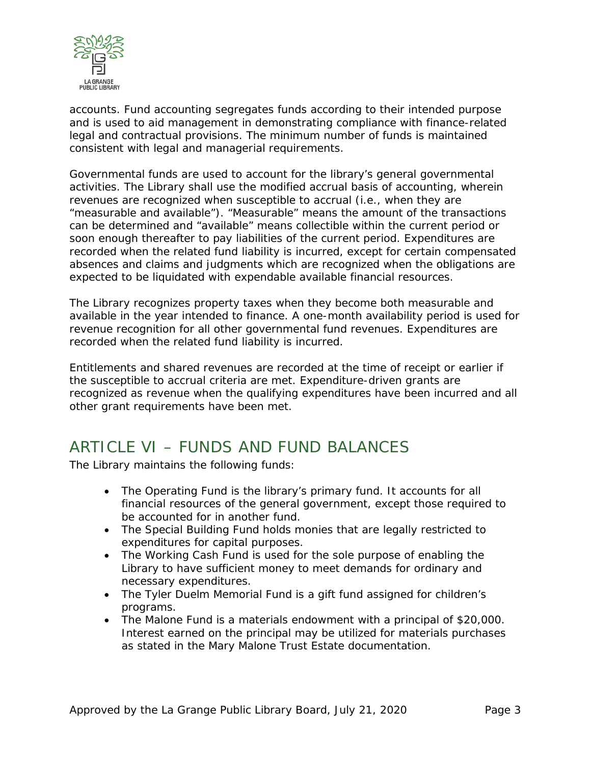

accounts. Fund accounting segregates funds according to their intended purpose and is used to aid management in demonstrating compliance with finance-related legal and contractual provisions. The minimum number of funds is maintained consistent with legal and managerial requirements.

Governmental funds are used to account for the library's general governmental activities. The Library shall use the modified accrual basis of accounting, wherein revenues are recognized when susceptible to accrual (i.e., when they are "measurable and available"). "Measurable" means the amount of the transactions can be determined and "available" means collectible within the current period or soon enough thereafter to pay liabilities of the current period. Expenditures are recorded when the related fund liability is incurred, except for certain compensated absences and claims and judgments which are recognized when the obligations are expected to be liquidated with expendable available financial resources.

The Library recognizes property taxes when they become both measurable and available in the year intended to finance. A one-month availability period is used for revenue recognition for all other governmental fund revenues. Expenditures are recorded when the related fund liability is incurred.

Entitlements and shared revenues are recorded at the time of receipt or earlier if the susceptible to accrual criteria are met. Expenditure-driven grants are recognized as revenue when the qualifying expenditures have been incurred and all other grant requirements have been met.

### ARTICLE VI – FUNDS AND FUND BALANCES

The Library maintains the following funds:

- The Operating Fund is the library's primary fund. It accounts for all financial resources of the general government, except those required to be accounted for in another fund.
- The Special Building Fund holds monies that are legally restricted to expenditures for capital purposes.
- The Working Cash Fund is used for the sole purpose of enabling the Library to have sufficient money to meet demands for ordinary and necessary expenditures.
- The Tyler Duelm Memorial Fund is a gift fund assigned for children's programs.
- The Malone Fund is a materials endowment with a principal of \$20,000. Interest earned on the principal may be utilized for materials purchases as stated in the Mary Malone Trust Estate documentation.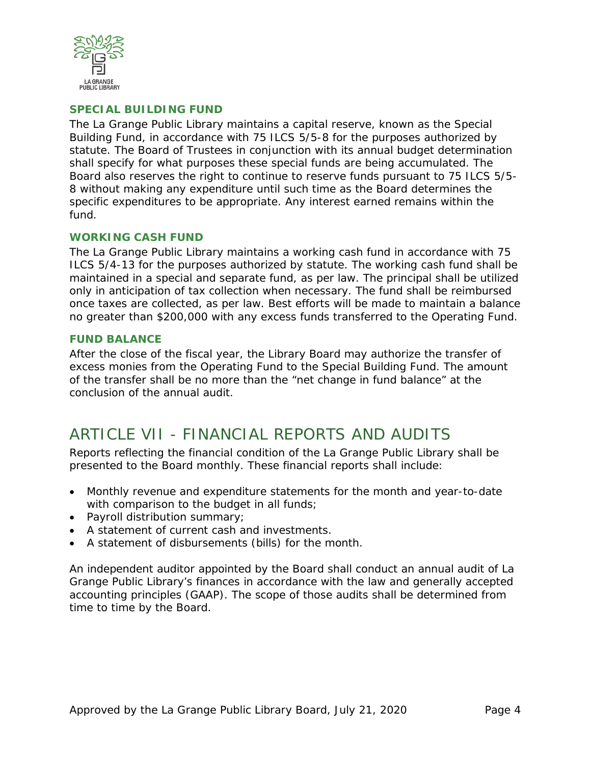

#### **SPECIAL BUILDING FUND**

The La Grange Public Library maintains a capital reserve, known as the Special Building Fund, in accordance with 75 ILCS 5/5-8 for the purposes authorized by statute. The Board of Trustees in conjunction with its annual budget determination shall specify for what purposes these special funds are being accumulated. The Board also reserves the right to continue to reserve funds pursuant to 75 ILCS 5/5- 8 without making any expenditure until such time as the Board determines the specific expenditures to be appropriate. Any interest earned remains within the fund.

#### **WORKING CASH FUND**

The La Grange Public Library maintains a working cash fund in accordance with 75 ILCS 5/4-13 for the purposes authorized by statute. The working cash fund shall be maintained in a special and separate fund, as per law. The principal shall be utilized only in anticipation of tax collection when necessary. The fund shall be reimbursed once taxes are collected, as per law. Best efforts will be made to maintain a balance no greater than \$200,000 with any excess funds transferred to the Operating Fund.

#### **FUND BALANCE**

After the close of the fiscal year, the Library Board may authorize the transfer of excess monies from the Operating Fund to the Special Building Fund. The amount of the transfer shall be no more than the "net change in fund balance" at the conclusion of the annual audit.

### ARTICLE VII - FINANCIAL REPORTS AND AUDITS

Reports reflecting the financial condition of the La Grange Public Library shall be presented to the Board monthly. These financial reports shall include:

- Monthly revenue and expenditure statements for the month and year-to-date with comparison to the budget in all funds;
- Payroll distribution summary;
- A statement of current cash and investments.
- A statement of disbursements (bills) for the month.

An independent auditor appointed by the Board shall conduct an annual audit of La Grange Public Library's finances in accordance with the law and generally accepted accounting principles (GAAP). The scope of those audits shall be determined from time to time by the Board.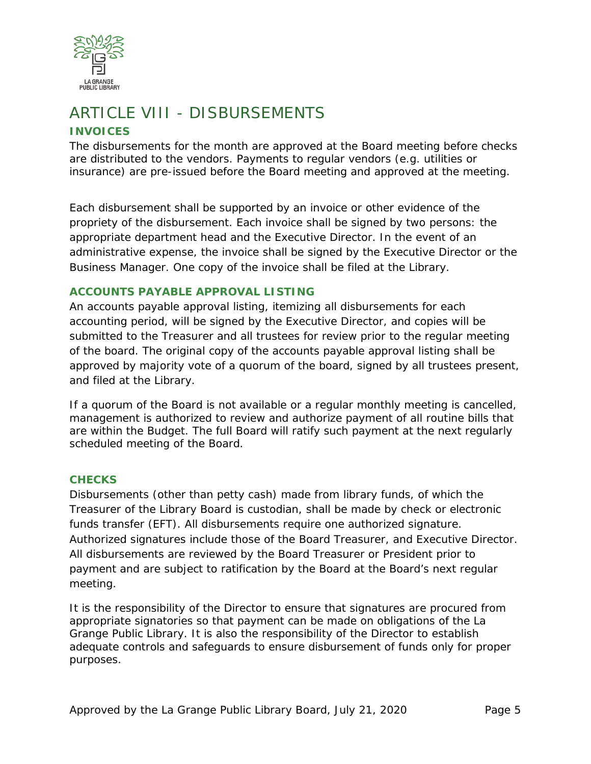

## ARTICLE VIII - DISBURSEMENTS

#### **INVOICES**

The disbursements for the month are approved at the Board meeting before checks are distributed to the vendors. Payments to regular vendors (e.g. utilities or insurance) are pre-issued before the Board meeting and approved at the meeting.

Each disbursement shall be supported by an invoice or other evidence of the propriety of the disbursement. Each invoice shall be signed by two persons: the appropriate department head and the Executive Director. In the event of an administrative expense, the invoice shall be signed by the Executive Director or the Business Manager. One copy of the invoice shall be filed at the Library.

#### **ACCOUNTS PAYABLE APPROVAL LISTING**

An accounts payable approval listing, itemizing all disbursements for each accounting period, will be signed by the Executive Director, and copies will be submitted to the Treasurer and all trustees for review prior to the regular meeting of the board. The original copy of the accounts payable approval listing shall be approved by majority vote of a quorum of the board, signed by all trustees present, and filed at the Library.

If a quorum of the Board is not available or a regular monthly meeting is cancelled, management is authorized to review and authorize payment of all routine bills that are within the Budget. The full Board will ratify such payment at the next regularly scheduled meeting of the Board.

#### **CHECKS**

Disbursements (other than petty cash) made from library funds, of which the Treasurer of the Library Board is custodian, shall be made by check or electronic funds transfer (EFT). All disbursements require one authorized signature. Authorized signatures include those of the Board Treasurer, and Executive Director. All disbursements are reviewed by the Board Treasurer or President prior to payment and are subject to ratification by the Board at the Board's next regular meeting.

It is the responsibility of the Director to ensure that signatures are procured from appropriate signatories so that payment can be made on obligations of the La Grange Public Library. It is also the responsibility of the Director to establish adequate controls and safeguards to ensure disbursement of funds only for proper purposes.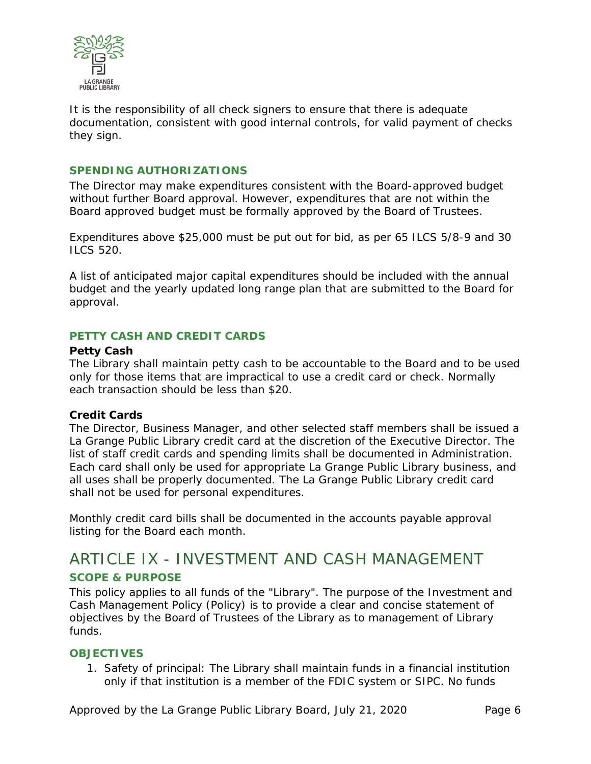

It is the responsibility of all check signers to ensure that there is adequate documentation, consistent with good internal controls, for valid payment of checks they sign.

#### **SPENDING AUTHORIZATIONS**

The Director may make expenditures consistent with the Board-approved budget without further Board approval. However, expenditures that are not within the Board approved budget must be formally approved by the Board of Trustees.

Expenditures above \$25,000 must be put out for bid, as per 65 ILCS 5/8-9 and 30 ILCS 520.

A list of anticipated major capital expenditures should be included with the annual budget and the yearly updated long range plan that are submitted to the Board for approval.

#### **PETTY CASH AND CREDIT CARDS**

#### **Petty Cash**

The Library shall maintain petty cash to be accountable to the Board and to be used only for those items that are impractical to use a credit card or check. Normally each transaction should be less than \$20.

#### **Credit Cards**

The Director, Business Manager, and other selected staff members shall be issued a La Grange Public Library credit card at the discretion of the Executive Director. The list of staff credit cards and spending limits shall be documented in Administration. Each card shall only be used for appropriate La Grange Public Library business, and all uses shall be properly documented. The La Grange Public Library credit card shall not be used for personal expenditures.

Monthly credit card bills shall be documented in the accounts payable approval listing for the Board each month.

### ARTICLE IX - INVESTMENT AND CASH MANAGEMENT **SCOPE & PURPOSE**

This policy applies to all funds of the "Library". The purpose of the Investment and Cash Management Policy (Policy) is to provide a clear and concise statement of objectives by the Board of Trustees of the Library as to management of Library funds.

#### **OBJECTIVES**

1. Safety of principal: The Library shall maintain funds in a financial institution only if that institution is a member of the FDIC system or SIPC. No funds

Approved by the La Grange Public Library Board, July 21, 2020 Page 6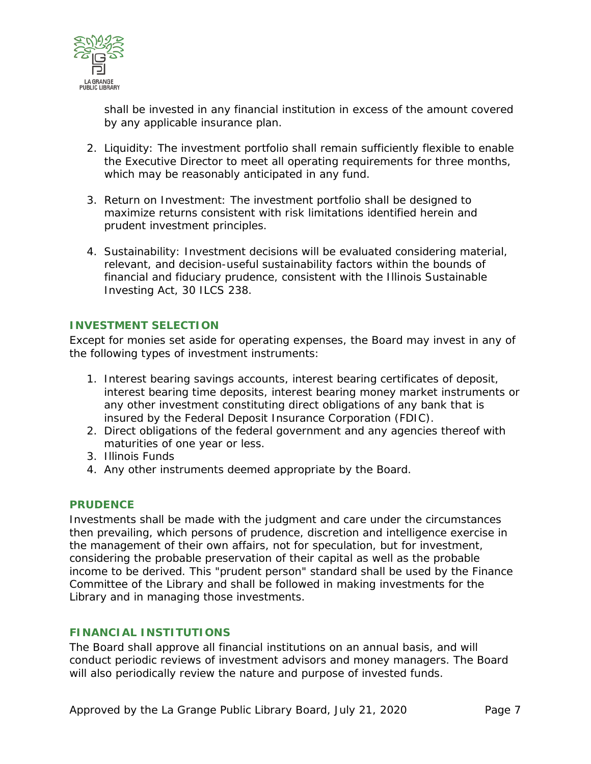

shall be invested in any financial institution in excess of the amount covered by any applicable insurance plan.

- 2. Liquidity: The investment portfolio shall remain sufficiently flexible to enable the Executive Director to meet all operating requirements for three months, which may be reasonably anticipated in any fund.
- 3. Return on Investment: The investment portfolio shall be designed to maximize returns consistent with risk limitations identified herein and prudent investment principles.
- 4. Sustainability: Investment decisions will be evaluated considering material, relevant, and decision-useful sustainability factors within the bounds of financial and fiduciary prudence, consistent with the Illinois Sustainable Investing Act, 30 ILCS 238.

#### **INVESTMENT SELECTION**

Except for monies set aside for operating expenses, the Board may invest in any of the following types of investment instruments:

- 1. Interest bearing savings accounts, interest bearing certificates of deposit, interest bearing time deposits, interest bearing money market instruments or any other investment constituting direct obligations of any bank that is insured by the Federal Deposit Insurance Corporation (FDIC).
- 2. Direct obligations of the federal government and any agencies thereof with maturities of one year or less.
- 3. Illinois Funds
- 4. Any other instruments deemed appropriate by the Board.

#### **PRUDENCE**

Investments shall be made with the judgment and care under the circumstances then prevailing, which persons of prudence, discretion and intelligence exercise in the management of their own affairs, not for speculation, but for investment, considering the probable preservation of their capital as well as the probable income to be derived. This "prudent person" standard shall be used by the Finance Committee of the Library and shall be followed in making investments for the Library and in managing those investments.

#### **FINANCIAL INSTITUTIONS**

The Board shall approve all financial institutions on an annual basis, and will conduct periodic reviews of investment advisors and money managers. The Board will also periodically review the nature and purpose of invested funds.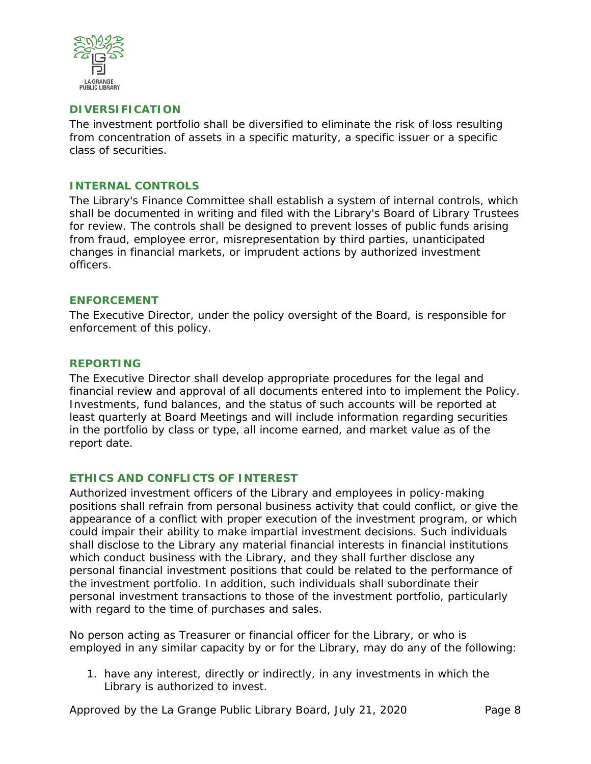

#### **DIVERSIFICATION**

The investment portfolio shall be diversified to eliminate the risk of loss resulting from concentration of assets in a specific maturity, a specific issuer or a specific class of securities.

#### **INTERNAL CONTROLS**

The Library's Finance Committee shall establish a system of internal controls, which shall be documented in writing and filed with the Library's Board of Library Trustees for review. The controls shall be designed to prevent losses of public funds arising from fraud, employee error, misrepresentation by third parties, unanticipated changes in financial markets, or imprudent actions by authorized investment officers.

#### **ENFORCEMENT**

The Executive Director, under the policy oversight of the Board, is responsible for enforcement of this policy.

#### **REPORTING**

The Executive Director shall develop appropriate procedures for the legal and financial review and approval of all documents entered into to implement the Policy. Investments, fund balances, and the status of such accounts will be reported at least quarterly at Board Meetings and will include information regarding securities in the portfolio by class or type, all income earned, and market value as of the report date.

#### **ETHICS AND CONFLICTS OF INTEREST**

Authorized investment officers of the Library and employees in policy-making positions shall refrain from personal business activity that could conflict, or give the appearance of a conflict with proper execution of the investment program, or which could impair their ability to make impartial investment decisions. Such individuals shall disclose to the Library any material financial interests in financial institutions which conduct business with the Library, and they shall further disclose any personal financial investment positions that could be related to the performance of the investment portfolio. In addition, such individuals shall subordinate their personal investment transactions to those of the investment portfolio, particularly with regard to the time of purchases and sales.

No person acting as Treasurer or financial officer for the Library, or who is employed in any similar capacity by or for the Library, may do any of the following:

1. have any interest, directly or indirectly, in any investments in which the Library is authorized to invest.

Approved by the La Grange Public Library Board, July 21, 2020 Page 8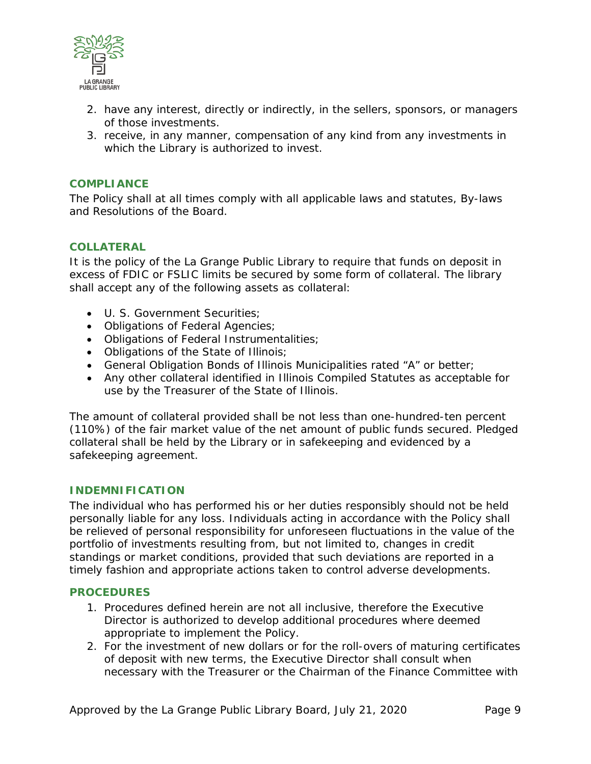

- 2. have any interest, directly or indirectly, in the sellers, sponsors, or managers of those investments.
- 3. receive, in any manner, compensation of any kind from any investments in which the Library is authorized to invest.

#### **COMPLIANCE**

The Policy shall at all times comply with all applicable laws and statutes, By-laws and Resolutions of the Board.

#### **COLLATERAL**

It is the policy of the La Grange Public Library to require that funds on deposit in excess of FDIC or FSLIC limits be secured by some form of collateral. The library shall accept any of the following assets as collateral:

- U. S. Government Securities;
- Obligations of Federal Agencies;
- Obligations of Federal Instrumentalities;
- Obligations of the State of Illinois;
- General Obligation Bonds of Illinois Municipalities rated "A" or better;
- Any other collateral identified in Illinois Compiled Statutes as acceptable for use by the Treasurer of the State of Illinois.

The amount of collateral provided shall be not less than one-hundred-ten percent (110%) of the fair market value of the net amount of public funds secured. Pledged collateral shall be held by the Library or in safekeeping and evidenced by a safekeeping agreement.

#### **INDEMNIFICATION**

The individual who has performed his or her duties responsibly should not be held personally liable for any loss. Individuals acting in accordance with the Policy shall be relieved of personal responsibility for unforeseen fluctuations in the value of the portfolio of investments resulting from, but not limited to, changes in credit standings or market conditions, provided that such deviations are reported in a timely fashion and appropriate actions taken to control adverse developments.

#### **PROCEDURES**

- 1. Procedures defined herein are not all inclusive, therefore the Executive Director is authorized to develop additional procedures where deemed appropriate to implement the Policy.
- 2. For the investment of new dollars or for the roll-overs of maturing certificates of deposit with new terms, the Executive Director shall consult when necessary with the Treasurer or the Chairman of the Finance Committee with

Approved by the La Grange Public Library Board, July 21, 2020 Page 9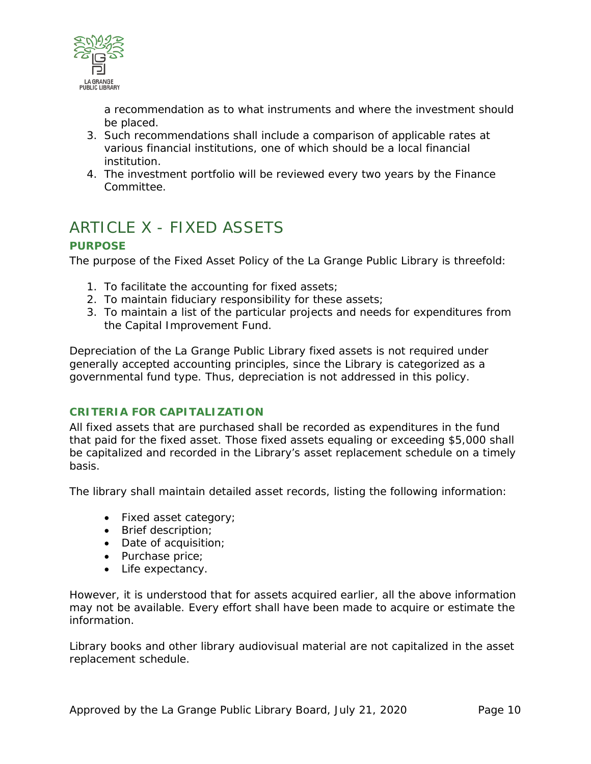

a recommendation as to what instruments and where the investment should be placed.

- 3. Such recommendations shall include a comparison of applicable rates at various financial institutions, one of which should be a local financial institution.
- 4. The investment portfolio will be reviewed every two years by the Finance Committee.

### ARTICLE X - FIXED ASSETS

#### **PURPOSE**

The purpose of the Fixed Asset Policy of the La Grange Public Library is threefold:

- 1. To facilitate the accounting for fixed assets;
- 2. To maintain fiduciary responsibility for these assets;
- 3. To maintain a list of the particular projects and needs for expenditures from the Capital Improvement Fund.

Depreciation of the La Grange Public Library fixed assets is not required under generally accepted accounting principles, since the Library is categorized as a governmental fund type. Thus, depreciation is not addressed in this policy.

#### **CRITERIA FOR CAPITALIZATION**

All fixed assets that are purchased shall be recorded as expenditures in the fund that paid for the fixed asset. Those fixed assets equaling or exceeding \$5,000 shall be capitalized and recorded in the Library's asset replacement schedule on a timely basis.

The library shall maintain detailed asset records, listing the following information:

- Fixed asset category;
- Brief description;
- Date of acquisition;
- Purchase price;
- Life expectancy.

However, it is understood that for assets acquired earlier, all the above information may not be available. Every effort shall have been made to acquire or estimate the information.

Library books and other library audiovisual material are not capitalized in the asset replacement schedule.